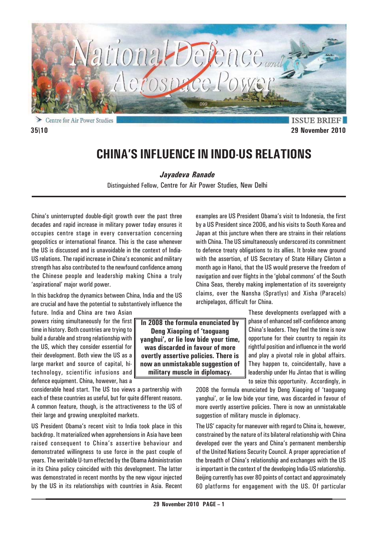

Centre for Air Power Studies

**ISSUE BRIEF 35\10 29 November 2010**

# **CHINA'S INFLUENCE IN INDO-US RELATIONS**

*Jayadeva Ranade*

Distinguished Fellow, Centre for Air Power Studies, New Delhi

China's uninterrupted double-digit growth over the past three decades and rapid increase in military power today ensures it occupies centre stage in every conversation concerning geopolitics or international finance. This is the case whenever the US is discussed and is unavoidable in the context of India-US relations. The rapid increase in China's economic and military strength has also contributed to the newfound confidence among the Chinese people and leadership making China a truly 'aspirational' major world power.

In this backdrop the dynamics between China, India and the US are crucial and have the potential to substantively influence the

future. India and China are two Asian powers rising simultaneously for the first time in history. Both countries are trying to build a durable and strong relationship with the US, which they consider essential for their development. Both view the US as a large market and source of capital, hitechnology, scientific infusions and defence equipment. China, however, has a

considerable head start. The US too views a partnership with each of these countries as useful, but for quite different reasons. A common feature, though, is the attractiveness to the US of their large and growing unexploited markets.

US President Obama's recent visit to India took place in this backdrop. It materialized when apprehensions in Asia have been raised consequent to China's assertive behaviour and demonstrated willingness to use force in the past couple of years. The veritable U-turn effected by the Obama Administration in its China policy coincided with this development. The latter was demonstrated in recent months by the new vigour injected by the US in its relationships with countries in Asia. Recent

Japan at this juncture when there are strains in their relations with China. The US simultaneously underscored its commitment to defence treaty obligations to its allies. It broke new ground with the assertion, of US Secretary of State Hillary Clinton a month ago in Hanoi, that the US would preserve the freedom of navigation and over flights in the 'global commons' of the South China Seas, thereby making implementation of its sovereignty claims, over the Nansha (Spratlys) and Xisha (Paracels) archipelagos, difficult for China.

examples are US President Obama's visit to Indonesia, the first by a US President since 2006, and his visits to South Korea and

> These developments overlapped with a phase of enhanced self-confidence among China's leaders. They feel the time is now opportune for their country to regain its rightful position and influence in the world and play a pivotal role in global affairs. They happen to, coincidentally, have a leadership under Hu Jintao that is willing to seize this opportunity. Accordingly, in

2008 the formula enunciated by Deng Xiaoping of 'taoguang yanghui', or lie low bide your time, was discarded in favour of more overtly assertive policies. There is now an unmistakable suggestion of military muscle in diplomacy.

The US' capacity for maneuver with regard to China is, however, constrained by the nature of its bilateral relationship with China developed over the years and China's permanent membership of the United Nations Security Council. A proper appreciation of the breadth of China's relationship and exchanges with the US is important in the context of the developing India-US relationship. Beijing currently has over 80 points of contact and approximately 60 platforms for engagement with the US. Of particular

**In 2008 the formula enunciated by Deng Xiaoping of 'taoguang yanghui', or lie low bide your time, was discarded in favour of more overtly assertive policies. There is now an unmistakable suggestion of military muscle in diplomacy.**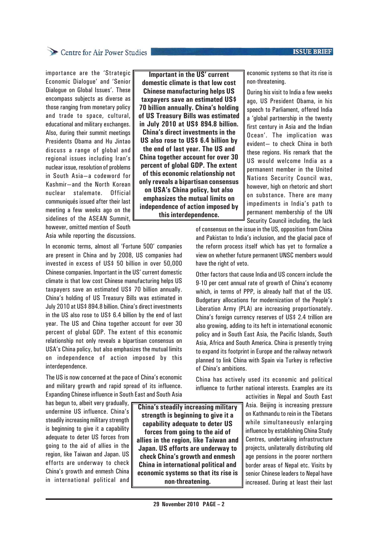### **ISSUE BRIEF**

## Centre for Air Power Studies

importance are the 'Strategic Economic Dialogue' and 'Senior Dialogue on Global Issues'. These encompass subjects as diverse as those ranging from monetary policy and trade to space, cultural, educational and military exchanges. Also, during their summit meetings Presidents Obama and Hu Jintao discuss a range of global and regional issues including Iran's nuclear issue, resolution of problems in South Asia—a codeword for Kashmir—and the North Korean nuclear stalemate. Official communiqués issued after their last meeting a few weeks ago on the sidelines of the ASEAN Summit, however, omitted mention of South

**Important in the US' current domestic climate is that low cost Chinese manufacturing helps US taxpayers save an estimated US\$ 70 billion annually. China's holding of US Treasury Bills was estimated in July 2010 at US\$ 894.8 billion. China's direct investments in the US also rose to US\$ 6.4 billion by the end of last year. The US and China together account for over 30 percent of global GDP. The extent of this economic relationship not only reveals a bipartisan consensus on USA's China policy, but also emphasizes the mutual limits on independence of action imposed by this interdependence.**

economic systems so that its rise is non-threatening.

During his visit to India a few weeks ago, US President Obama, in his speech to Parliament, offered India a 'global partnership in the twenty first century in Asia and the Indian Ocean'. The implication was evident— to check China in both these regions. His remark that the US would welcome India as a permanent member in the United Nations Security Council was, however, high on rhetoric and short on substance. There are many impediments in India's path to permanent membership of the UN Security Council including, the lack

of consensus on the issue in the US, opposition from China and Pakistan to India's inclusion, and the glacial pace of the reform process itself which has yet to formalize a view on whether future permanent UNSC members would have the right of veto.

Other factors that cause India and US concern include the 9-10 per cent annual rate of growth of China's economy which, in terms of PPP, is already half that of the US. Budgetary allocations for modernization of the People's Liberation Army (PLA) are increasing proportionately. China's foreign currency reserves of US\$ 2.4 trillion are also growing, adding to its heft in international economic policy and in South East Asia, the Pacific Islands, South Asia, Africa and South America. China is presently trying to expand its footprint in Europe and the railway network planned to link China with Spain via Turkey is reflective of China's ambitions.

China has actively used its economic and political influence to further national interests. Examples are its

> activities in Nepal and South East Asia. Beijing is increasing pressure on Kathmandu to rein in the Tibetans while simultaneously enlarging influence by establishing China Study Centres, undertaking infrastructure projects, unilaterally distributing old age pensions in the poorer northern border areas of Nepal etc. Visits by senior Chinese leaders to Nepal have increased. During at least their last

Asia while reporting the discussions.

In economic terms, almost all 'Fortune 500' companies are present in China and by 2008, US companies had invested in excess of US\$ 50 billion in over 50,000 Chinese companies. Important in the US' current domestic climate is that low cost Chinese manufacturing helps US taxpayers save an estimated US\$ 70 billion annually. China's holding of US Treasury Bills was estimated in July 2010 at US\$ 894.8 billion. China's direct investments in the US also rose to US\$ 6.4 billion by the end of last year. The US and China together account for over 30 percent of global GDP. The extent of this economic relationship not only reveals a bipartisan consensus on USA's China policy, but also emphasizes the mutual limits on independence of action imposed by this interdependence.

The US is now concerned at the pace of China's economic and military growth and rapid spread of its influence. Expanding Chinese influence in South East and South Asia

has begun to, albeit very gradually, undermine US influence. China's steadily increasing military strength is beginning to give it a capability adequate to deter US forces from going to the aid of allies in the region, like Taiwan and Japan. US efforts are underway to check China's growth and enmesh China in international political and

**China's steadily increasing military strength is beginning to give it a capability adequate to deter US forces from going to the aid of allies in the region, like Taiwan and Japan. US efforts are underway to check China's growth and enmesh China in international political and economic systems so that its rise is non-threatening.**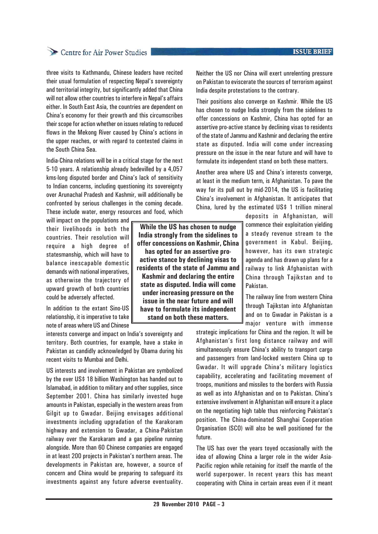# Centre for Air Power Studies

three visits to Kathmandu, Chinese leaders have recited their usual formulation of respecting Nepal's sovereignty and territorial integrity, but significantly added that China will not allow other countries to interfere in Nepal's affairs either. In South East Asia, the countries are dependent on China's economy for their growth and this circumscribes their scope for action whether on issues relating to reduced flows in the Mekong River caused by China's actions in the upper reaches, or with regard to contested claims in the South China Sea.

India-China relations will be in a critical stage for the next 5-10 years. A relationship already bedevilled by a 4,057 kms-long disputed border and China's lack of sensitivity to Indian concerns, including questioning its sovereignty over Arunachal Pradesh and Kashmir, will additionally be confronted by serious challenges in the coming decade. These include water, energy resources and food, which

will impact on the populations and their livelihoods in both the countries. Their resolution will require a high degree of statesmanship, which will have to balance inescapable domestic demands with national imperatives, as otherwise the trajectory of upward growth of both countries could be adversely affected.

In addition to the extant Sino-US relationship, it is imperative to take note of areas where US and Chinese

interests converge and impact on India's sovereignty and territory. Both countries, for example, have a stake in Pakistan as candidly acknowledged by Obama during his recent visits to Mumbai and Delhi.

US interests and involvement in Pakistan are symbolized by the over US\$ 18 billion Washington has handed out to Islamabad, in addition to military and other supplies, since September 2001. China has similarly invested huge amounts in Pakistan, especially in the western areas from Gilgit up to Gwadar. Beijing envisages additional investments including upgradation of the Karakoram highway and extension to Gwadar, a China-Pakistan railway over the Karokaram and a gas pipeline running alongside. More than 60 Chinese companies are engaged in at least 200 projects in Pakistan's northern areas. The developments in Pakistan are, however, a source of concern and China would be preparing to safeguard its investments against any future adverse eventuality. Neither the US nor China will exert unrelenting pressure on Pakistan to eviscerate the sources of terrorism against India despite protestations to the contrary.

Their positions also converge on Kashmir. While the US has chosen to nudge India strongly from the sidelines to offer concessions on Kashmir, China has opted for an assertive pro-active stance by declining visas to residents of the state of Jammu and Kashmir and declaring the entire state as disputed. India will come under increasing pressure on the issue in the near future and will have to formulate its independent stand on both these matters.

Another area where US and China's interests converge, at least in the medium term, is Afghanistan. To pave the way for its pull out by mid-2014, the US is facilitating China's involvement in Afghanistan. It anticipates that China, lured by the estimated US\$ 1 trillion mineral

> deposits in Afghanistan, will commence their exploitation yielding a steady revenue stream to the government in Kabul. Beijing, however, has its own strategic agenda and has drawn up plans for a railway to link Afghanistan with China through Tajikstan and to Pakistan.

> The railway line from western China through Tajikstan into Afghanistan and on to Gwadar in Pakistan is a major venture with immense

strategic implications for China and the region. It will be Afghanistan's first long distance railway and will simultaneously ensure China's ability to transport cargo and passengers from land-locked western China up to Gwadar. It will upgrade China's military logistics capability, accelerating and facilitating movement of troops, munitions and missiles to the borders with Russia as well as into Afghanistan and on to Pakistan. China's extensive involvement in Afghanistan will ensure it a place on the negotiating high table thus reinforcing Pakistan's position. The China-dominated Shanghai Cooperation Organisation (SCO) will also be well positioned for the future.

The US has over the years toyed occasionally with the idea of allowing China a larger role in the wider Asia-Pacific region while retaining for itself the mantle of the world superpower. In recent years this has meant cooperating with China in certain areas even if it meant

**While the US has chosen to nudge India strongly from the sidelines to offer concessions on Kashmir, China has opted for an assertive proactive stance by declining visas to residents of the state of Jammu and Kashmir and declaring the entire state as disputed. India will come under increasing pressure on the issue in the near future and will have to formulate its independent stand on both these matters.**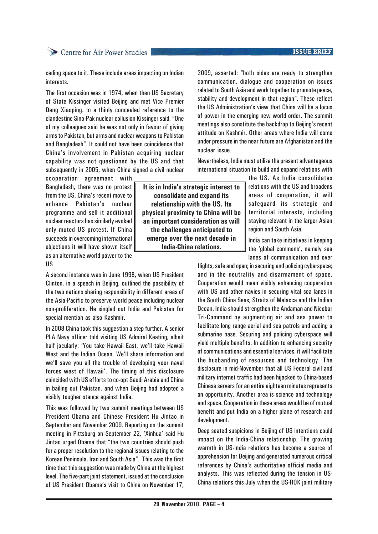### **ISSUE BRIEF**

# Centre for Air Power Studies

ceding space to it. These include areas impacting on Indian interests.

The first occasion was in 1974, when then US Secretary of State Kissinger visited Beijing and met Vice Premier Deng Xiaoping. In a thinly concealed reference to the clandestine Sino-Pak nuclear collusion Kissinger said, "One of my colleagues said he was not only in favour of giving arms to Pakistan, but arms and nuclear weapons to Pakistan and Bangladesh". It could not have been coincidence that China's involvement in Pakistan acquiring nuclear capability was not questioned by the US and that subsequently in 2005, when China signed a civil nuclear

cooperation agreement with Bangladesh, there was no protest from the US. China's recent move to enhance Pakistan's nuclear programme and sell it additional nuclear reactors has similarly evoked only muted US protest. If China succeeds in overcoming international objections it will have shown itself as an alternative world power to the

US

A second instance was in June 1998, when US President Clinton, in a speech in Beijing, outlined the possibility of the two nations sharing responsibility in different areas of the Asia-Pacific to preserve world peace including nuclear non-proliferation. He singled out India and Pakistan for special mention as also Kashmir.

In 2008 China took this suggestion a step further. A senior PLA Navy officer told visiting US Admiral Keating, albeit half jocularly: 'You take Hawaii East, we'll take Hawaii West and the Indian Ocean. We'll share information and we'll save you all the trouble of developing your naval forces west of Hawaii'. The timing of this disclosure coincided with US efforts to co-opt Saudi Arabia and China in bailing out Pakistan, and when Beijing had adopted a visibly tougher stance against India.

This was followed by two summit meetings between US President Obama and Chinese President Hu Jintao in September and November 2009. Reporting on the summit meeting in Pittsburg on September 22, 'Xinhua' said Hu Jintao urged Obama that "the two countries should push for a proper resolution to the regional issues relating to the Korean Peninsula, Iran and South Asia". This was the first time that this suggestion was made by China at the highest level. The five-part joint statement, issued at the conclusion of US President Obama's visit to China on November 17,

**It is in India's strategic interest to consolidate and expand its relationship with the US. Its physical proximity to China will be an important consideration as will the challenges anticipated to emerge over the next decade in India-China relations.**

2009, asserted: "both sides are ready to strengthen communication, dialogue and cooperation on issues related to South Asia and work together to promote peace, stability and development in that region". These reflect the US Administration's view that China will be a locus of power in the emerging new world order. The summit meetings also constitute the backdrop to Beijing's recent attitude on Kashmir. Other areas where India will come under pressure in the near future are Afghanistan and the nuclear issue.

Nevertheless, India must utilize the present advantageous international situation to build and expand relations with

> the US. As India consolidates relations with the US and broadens areas of cooperation, it will safeguard its strategic and territorial interests, including staying relevant in the larger Asian region and South Asia.

India can take initiatives in keeping the 'global commons', namely sea lanes of communication and over

flights, safe and open; in securing and policing cyberspace; and in the neutrality and disarmament of space. Cooperation would mean visibly enhancing cooperation with US and other navies in securing vital sea lanes in the South China Seas, Straits of Malacca and the Indian Ocean. India should strengthen the Andaman and Nicobar Tri-Command by augmenting air and sea power to facilitate long range aerial and sea patrols and adding a submarine base. Securing and policing cyberspace will yield multiple benefits. In addition to enhancing security of communications and essential services, it will facilitate the husbanding of resources and technology. The disclosure in mid-November that all US Federal civil and military internet traffic had been hijacked to China-based Chinese servers for an entire eighteen minutes represents an opportunity. Another area is science and technology and space. Cooperation in these areas would be of mutual benefit and put India on a higher plane of research and development.

Deep seated suspicions in Beijing of US intentions could impact on the India-China relationship. The growing warmth in US-India relations has become a source of apprehension for Beijing and generated numerous critical references by China's authoritative official media and analysts. This was reflected during the tension in US-China relations this July when the US-ROK joint military